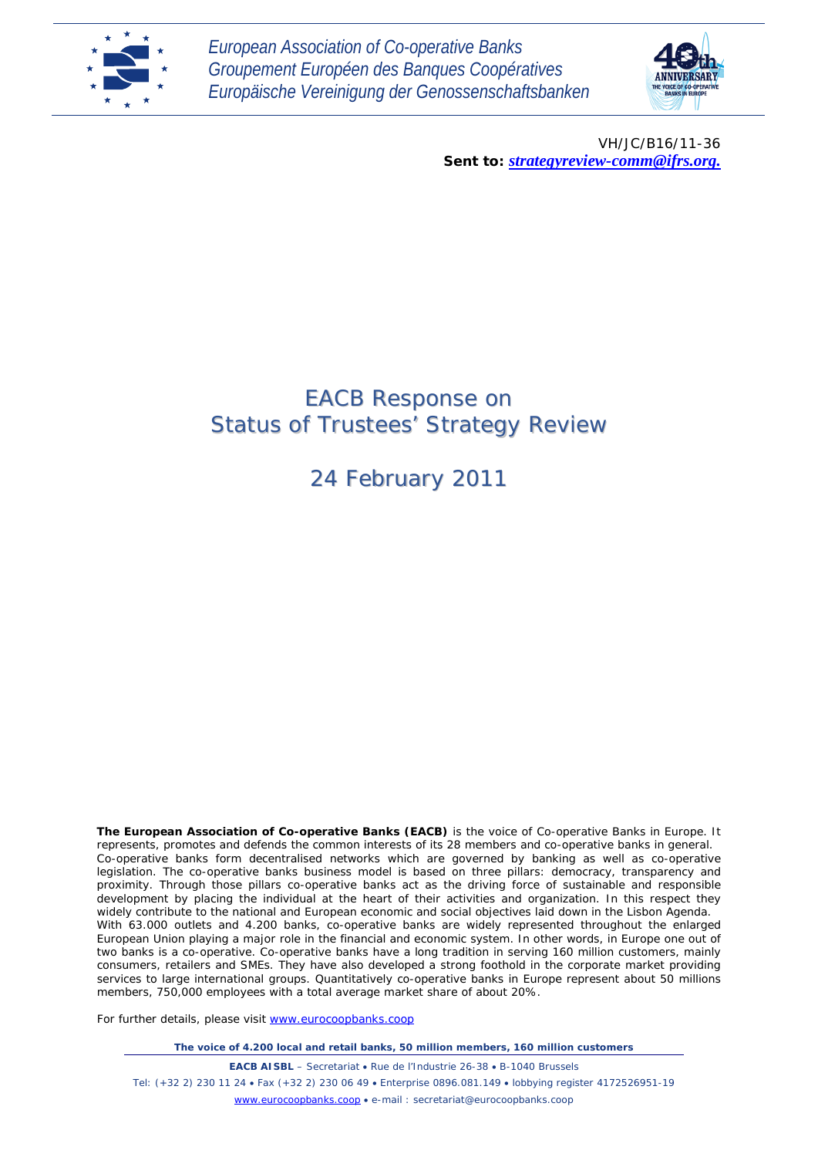

*European Association of Co-operative Banks Groupement Européen des Banques Coopératives Europäische Vereinigung der Genossenschaftsbanken*



VH/JC/B16/11-36 *Sent to: strategyreview-comm@ifrs.org.*

# EACB Response on Status of Trustees' Strategy Review

24 February 2011

**The European Association of Co-operative Banks (EACB)** is the voice of Co-operative Banks in Europe. It represents, promotes and defends the common interests of its 28 members and co-operative banks in general. Co-operative banks form decentralised networks which are governed by banking as well as co-operative legislation. The co-operative banks business model is based on three pillars: democracy, transparency and proximity. Through those pillars co-operative banks act as the driving force of sustainable and responsible development by placing the individual at the heart of their activities and organization. In this respect they widely contribute to the national and European economic and social objectives laid down in the Lisbon Agenda. With 63.000 outlets and 4.200 banks, co-operative banks are widely represented throughout the enlarged European Union playing a major role in the financial and economic system. In other words, in Europe one out of two banks is a co-operative. Co-operative banks have a long tradition in serving 160 million customers, mainly consumers, retailers and SMEs. They have also developed a strong foothold in the corporate market providing services to large international groups. Quantitatively co-operative banks in Europe represent about 50 millions members, 750,000 employees with a total average market share of about 20%.

For further details, please visit [www.eurocoopbanks.coop](http://www.eurocoopbanks.coop/)

*The voice of 4.200 local and retail banks, 50 million members, 160 million customers*

**EACB AISBL** – Secretariat • Rue de l'Industrie 26-38 • B-1040 Brussels Tel: (+32 2) 230 11 24 • Fax (+32 2) 230 06 49 • Enterprise 0896.081.149 • lobbying register 4172526951-19 [www.eurocoopbanks.coop](http://www.eurocoopbanks.coop/) • e-mail : secretariat@eurocoopbanks.coop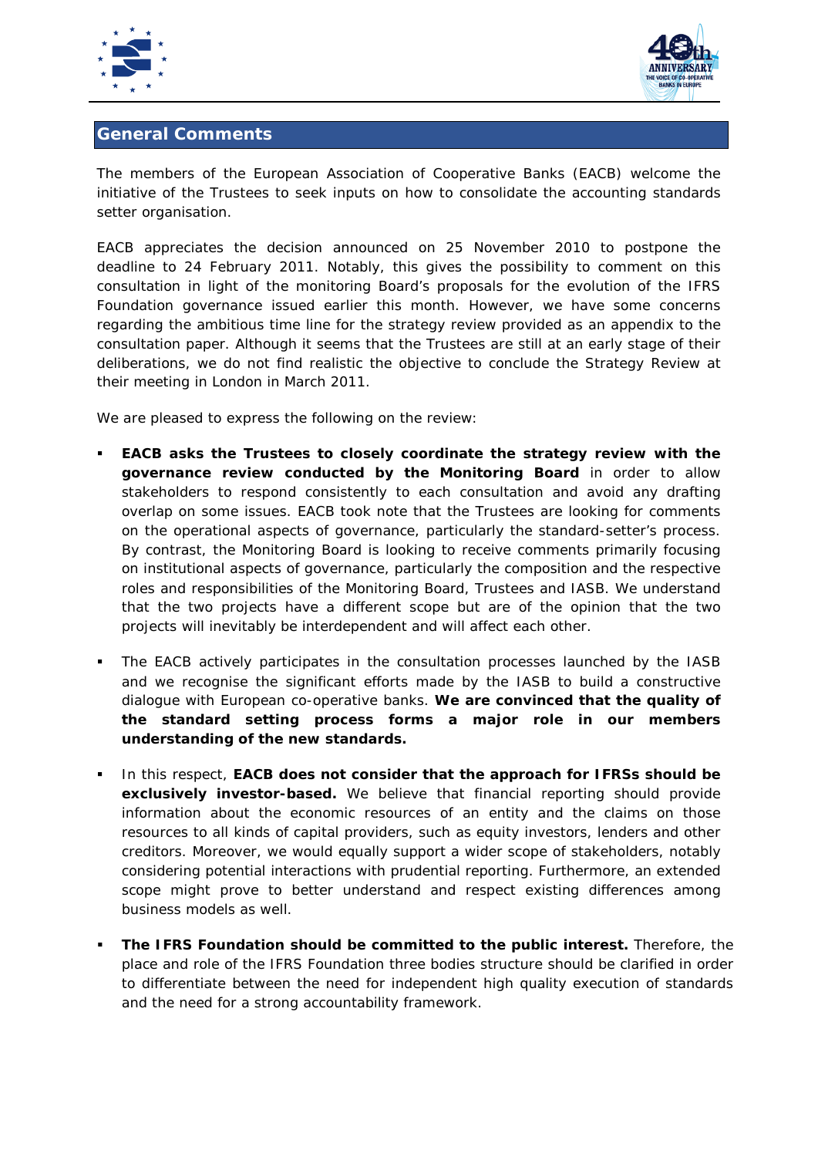



# **General Comments**

The members of the European Association of Cooperative Banks (EACB) welcome the initiative of the Trustees to seek inputs on how to consolidate the accounting standards setter organisation.

EACB appreciates the decision announced on 25 November 2010 to postpone the deadline to 24 February 2011. Notably, this gives the possibility to comment on this consultation in light of the monitoring Board's proposals for the evolution of the IFRS Foundation governance issued earlier this month. However, we have some concerns regarding the ambitious time line for the strategy review provided as an appendix to the consultation paper. Although it seems that the Trustees are still at an early stage of their deliberations, we do not find realistic the objective to conclude the Strategy Review at their meeting in London in March 2011.

We are pleased to express the following on the review:

- **EACB asks the Trustees to closely coordinate the strategy review with the governance review conducted by the Monitoring Board** in order to allow stakeholders to respond consistently to each consultation and avoid any drafting overlap on some issues. EACB took note that the Trustees are looking for comments on the operational aspects of governance, particularly the standard-setter's process. By contrast, the Monitoring Board is looking to receive comments primarily focusing on institutional aspects of governance, particularly the composition and the respective roles and responsibilities of the Monitoring Board, Trustees and IASB. We understand that the two projects have a different scope but are of the opinion that the two projects will inevitably be interdependent and will affect each other.
- The EACB actively participates in the consultation processes launched by the IASB and we recognise the significant efforts made by the IASB to build a constructive dialogue with European co-operative banks. **We are convinced that the quality of the standard setting process forms a major role in our members understanding of the new standards.**
- In this respect, **EACB does not consider that the approach for IFRSs should be exclusively investor-based.** We believe that financial reporting should provide information about the economic resources of an entity and the claims on those resources to all kinds of capital providers, such as equity investors, lenders and other creditors. Moreover, we would equally support a wider scope of stakeholders, notably considering potential interactions with prudential reporting. Furthermore, an extended scope might prove to better understand and respect existing differences among business models as well.
- **The IFRS Foundation should be committed to the public interest.** Therefore, the place and role of the IFRS Foundation three bodies structure should be clarified in order to differentiate between the need for independent high quality execution of standards and the need for a strong accountability framework.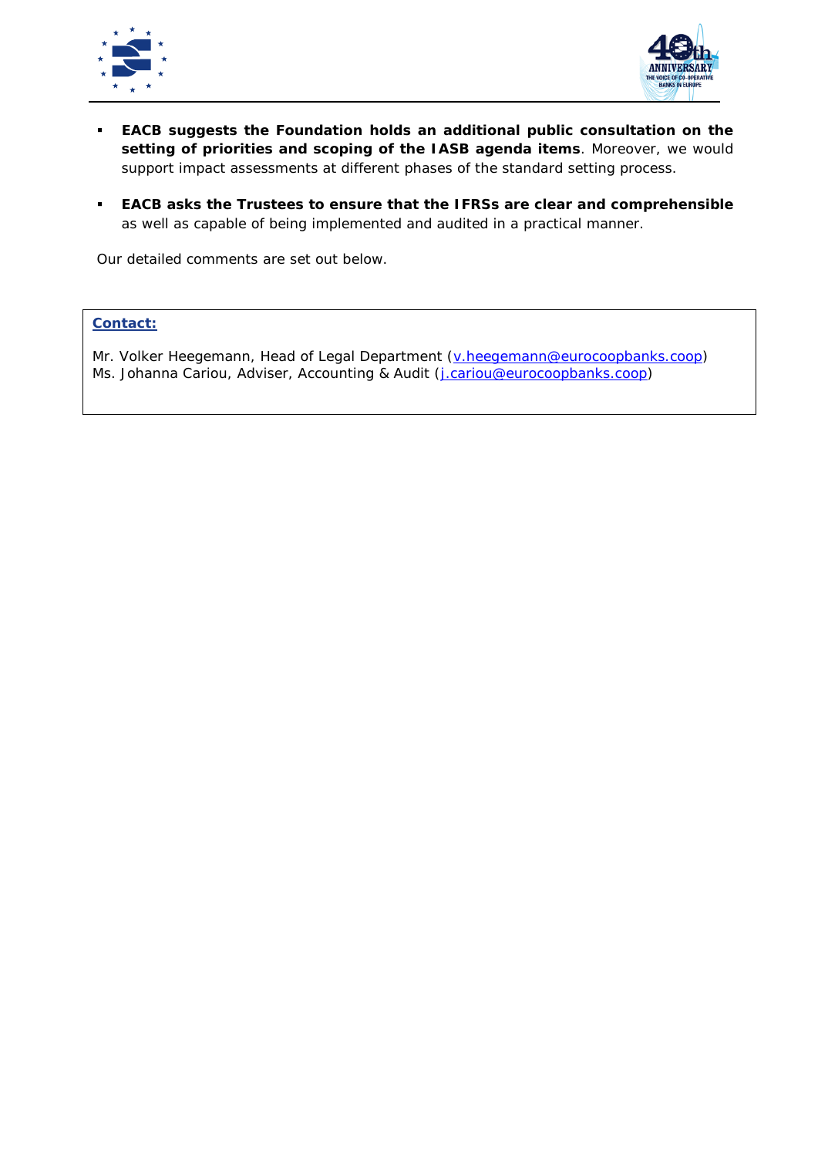



- **EACB suggests the Foundation holds an additional public consultation on the setting of priorities and scoping of the IASB agenda items**. Moreover, we would support impact assessments at different phases of the standard setting process.
- **EACB asks the Trustees to ensure that the IFRSs are clear and comprehensible** as well as capable of being implemented and audited in a practical manner.

Our detailed comments are set out below.

## **Contact:**

Mr. Volker Heegemann, Head of Legal Department [\(v.heegemann@eurocoopbanks.coop\)](mailto:v.heegemann@eurocoopbanks.coop) Ms. Johanna Cariou, Adviser, Accounting & Audit (*j.cariou@eurocoopbanks.coop*)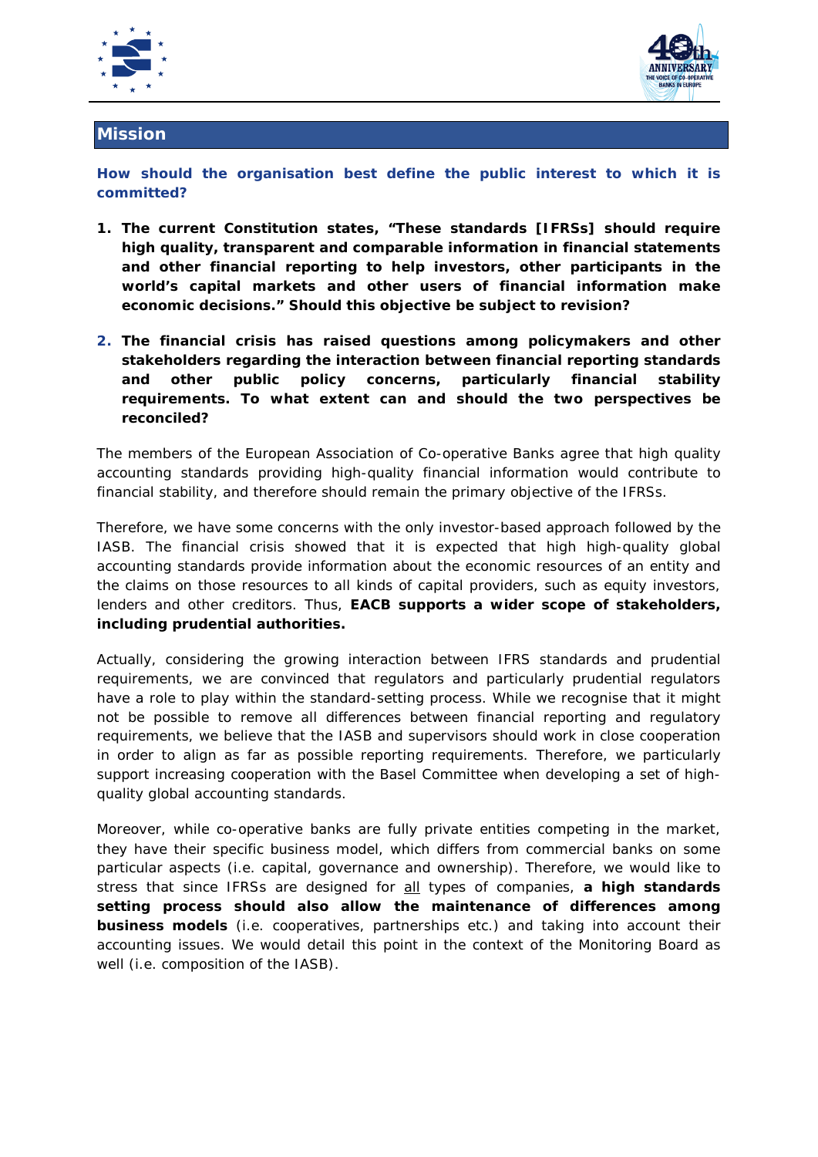



## **Mission**

**How should the organisation best define the public interest to which it is committed?**

- *1. The current Constitution states, "These standards [IFRSs] should require high quality, transparent and comparable information in financial statements and other financial reporting to help investors, other participants in the world's capital markets and other users of financial information make economic decisions." Should this objective be subject to revision?*
- **2.** *The financial crisis has raised questions among policymakers and other stakeholders regarding the interaction between financial reporting standards and other public policy concerns, particularly financial stability requirements. To what extent can and should the two perspectives be reconciled?*

The members of the European Association of Co-operative Banks agree that high quality accounting standards providing high-quality financial information would contribute to financial stability, and therefore should remain the primary objective of the IFRSs.

Therefore, we have some concerns with the only investor-based approach followed by the IASB. The financial crisis showed that it is expected that high high-quality global accounting standards provide information about the economic resources of an entity and the claims on those resources to all kinds of capital providers, such as equity investors, lenders and other creditors. Thus, **EACB supports a wider scope of stakeholders, including prudential authorities.** 

Actually, considering the growing interaction between IFRS standards and prudential requirements, we are convinced that regulators and particularly prudential regulators have a role to play within the standard-setting process. While we recognise that it might not be possible to remove all differences between financial reporting and regulatory requirements, we believe that the IASB and supervisors should work in close cooperation in order to align as far as possible reporting requirements. Therefore, we particularly support increasing cooperation with the Basel Committee when developing a set of highquality global accounting standards.

Moreover, while co-operative banks are fully private entities competing in the market, they have their specific business model, which differs from commercial banks on some particular aspects (i.e. capital, governance and ownership). Therefore, we would like to stress that since IFRSs are designed for all types of companies, **a high standards setting process should also allow the maintenance of differences among business models** (i.e. cooperatives, partnerships etc.) and taking into account their accounting issues. We would detail this point in the context of the Monitoring Board as well (i.e. composition of the IASB).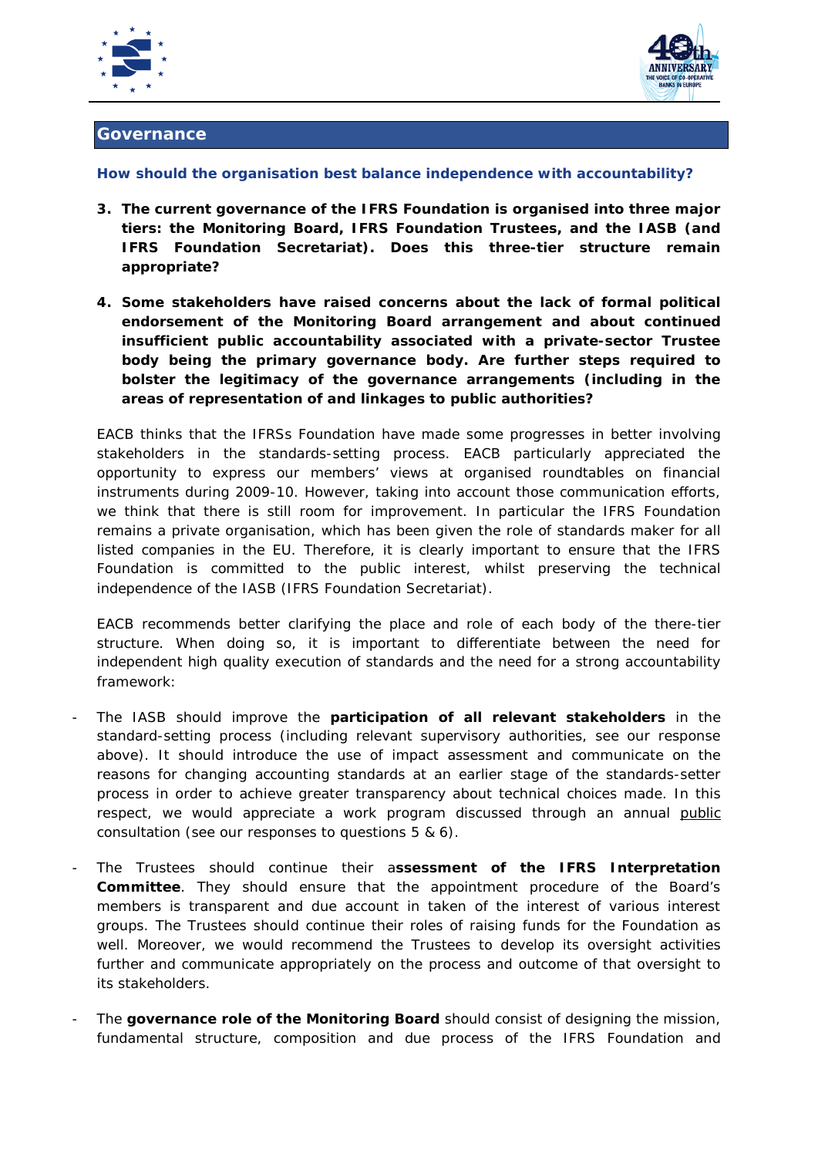



### **Governance**

#### **How should the organisation best balance independence with accountability?**

- *3. The current governance of the IFRS Foundation is organised into three major tiers: the Monitoring Board, IFRS Foundation Trustees, and the IASB (and IFRS Foundation Secretariat). Does this three-tier structure remain appropriate?*
- *4. Some stakeholders have raised concerns about the lack of formal political endorsement of the Monitoring Board arrangement and about continued insufficient public accountability associated with a private-sector Trustee body being the primary governance body. Are further steps required to bolster the legitimacy of the governance arrangements (including in the areas of representation of and linkages to public authorities?*

EACB thinks that the IFRSs Foundation have made some progresses in better involving stakeholders in the standards-setting process. EACB particularly appreciated the opportunity to express our members' views at organised roundtables on financial instruments during 2009-10. However, taking into account those communication efforts, we think that there is still room for improvement. In particular the IFRS Foundation remains a private organisation, which has been given the role of standards maker for all listed companies in the EU. Therefore, it is clearly important to ensure that the IFRS Foundation is committed to the public interest, whilst preserving the technical independence of the IASB (IFRS Foundation Secretariat).

EACB recommends better clarifying the place and role of each body of the there-tier structure. When doing so, it is important to differentiate between the need for independent high quality execution of standards and the need for a strong accountability framework:

- The IASB should improve the **participation of all relevant stakeholders** in the standard-setting process (including relevant supervisory authorities, see our response above). It should introduce the use of impact assessment and communicate on the reasons for changing accounting standards at an earlier stage of the standards-setter process in order to achieve greater transparency about technical choices made. In this respect, we would appreciate a work program discussed through an annual public consultation (see our responses to questions 5 & 6).
- The Trustees should continue their a**ssessment of the IFRS Interpretation Committee**. They should ensure that the appointment procedure of the Board's members is transparent and due account in taken of the interest of various interest groups. The Trustees should continue their roles of raising funds for the Foundation as well. Moreover, we would recommend the Trustees to develop its oversight activities further and communicate appropriately on the process and outcome of that oversight to its stakeholders.
- The governance role of the Monitoring Board should consist of designing the mission, fundamental structure, composition and due process of the IFRS Foundation and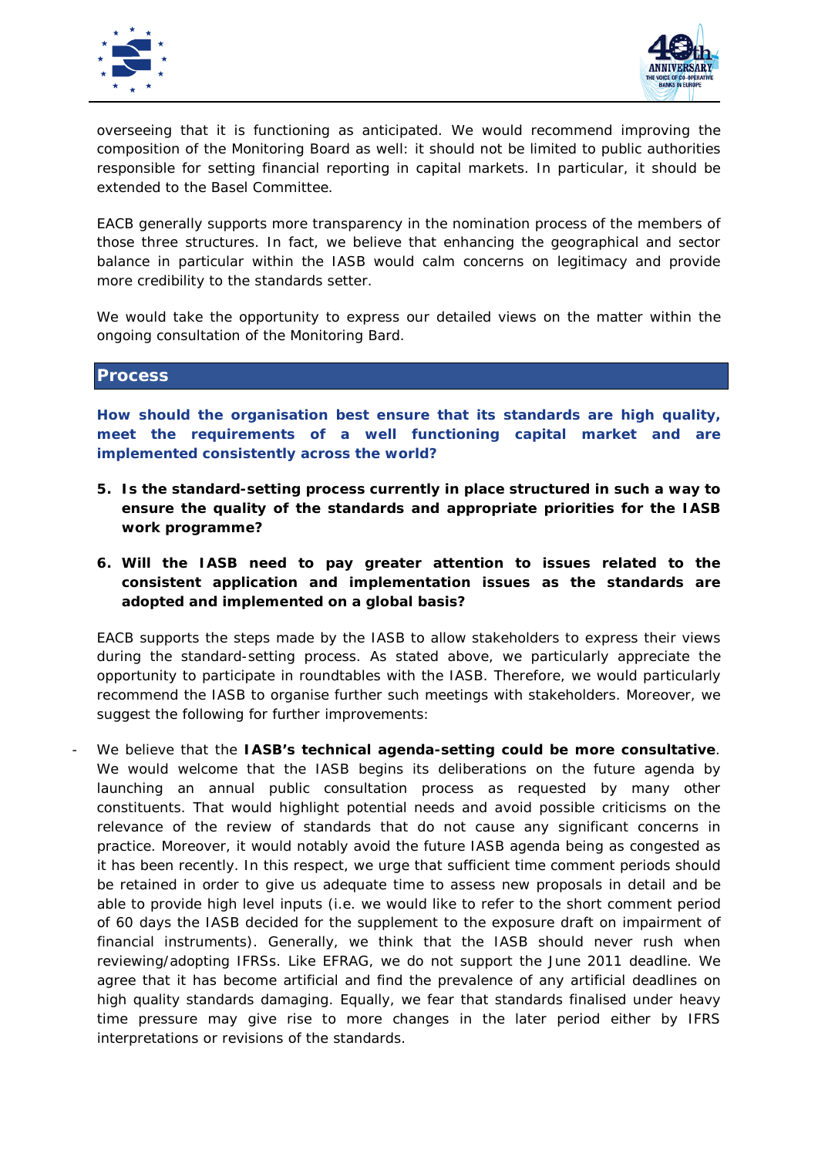



overseeing that it is functioning as anticipated. We would recommend improving the composition of the Monitoring Board as well: it should not be limited to public authorities responsible for setting financial reporting in capital markets. In particular, it should be extended to the Basel Committee.

EACB generally supports more transparency in the nomination process of the members of those three structures. In fact, we believe that enhancing the geographical and sector balance in particular within the IASB would calm concerns on legitimacy and provide more credibility to the standards setter.

We would take the opportunity to express our detailed views on the matter within the ongoing consultation of the Monitoring Bard.

#### **Process**

**How should the organisation best ensure that its standards are high quality, meet the requirements of a well functioning capital market and are implemented consistently across the world?** 

- *5. Is the standard-setting process currently in place structured in such a way to ensure the quality of the standards and appropriate priorities for the IASB work programme?*
- *6. Will the IASB need to pay greater attention to issues related to the consistent application and implementation issues as the standards are adopted and implemented on a global basis?*

EACB supports the steps made by the IASB to allow stakeholders to express their views during the standard-setting process. As stated above, we particularly appreciate the opportunity to participate in roundtables with the IASB. Therefore, we would particularly recommend the IASB to organise further such meetings with stakeholders. Moreover, we suggest the following for further improvements:

- We believe that the **IASB's technical agenda-setting could be more consultative**. We would welcome that the IASB begins its deliberations on the future agenda by launching an annual public consultation process as requested by many other constituents. That would highlight potential needs and avoid possible criticisms on the relevance of the review of standards that do not cause any significant concerns in practice. Moreover, it would notably avoid the future IASB agenda being as congested as it has been recently. In this respect, we urge that sufficient time comment periods should be retained in order to give us adequate time to assess new proposals in detail and be able to provide high level inputs (i.e. we would like to refer to the short comment period of 60 days the IASB decided for the supplement to the exposure draft on impairment of financial instruments). Generally, we think that the IASB should never rush when reviewing/adopting IFRSs. Like EFRAG, we do not support the June 2011 deadline. We agree that it has become artificial and find the prevalence of any artificial deadlines on high quality standards damaging. Equally, we fear that standards finalised under heavy time pressure may give rise to more changes in the later period either by IFRS interpretations or revisions of the standards.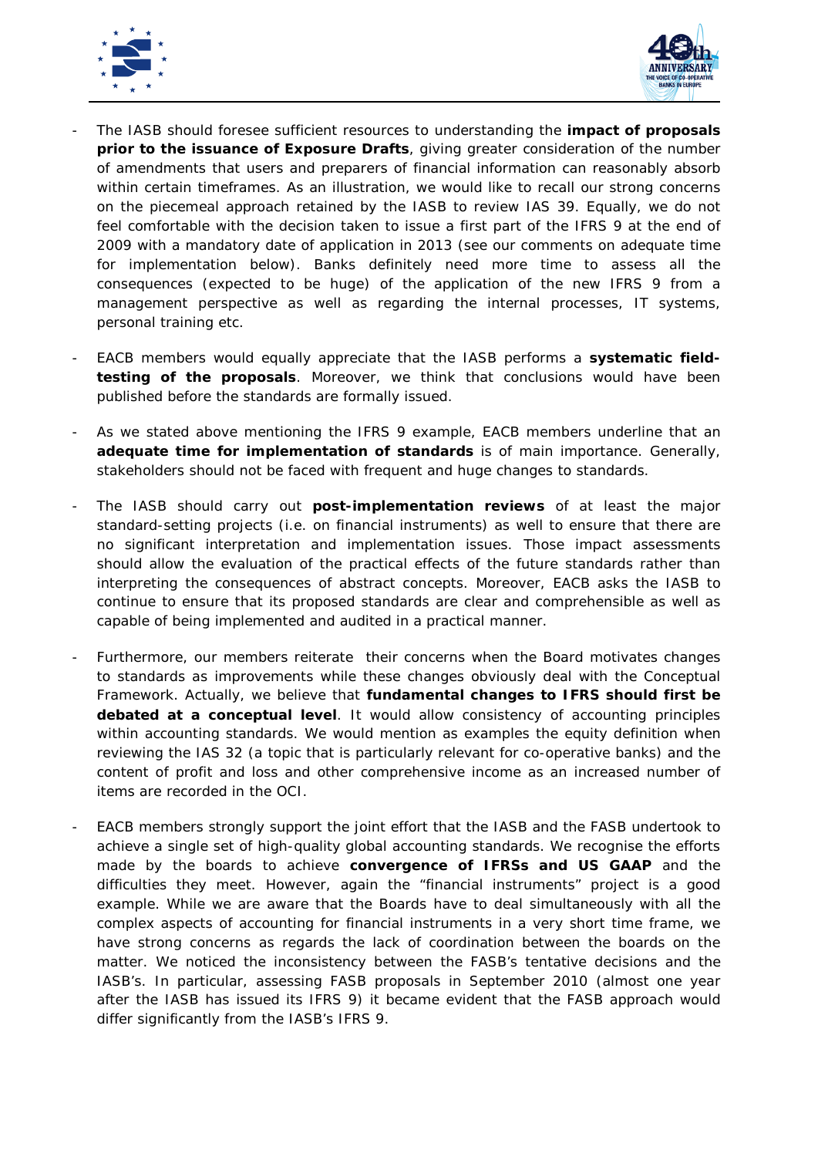



- The IASB should foresee sufficient resources to understanding the **impact of proposals prior to the issuance of Exposure Drafts**, giving greater consideration of the number of amendments that users and preparers of financial information can reasonably absorb within certain timeframes. As an illustration, we would like to recall our strong concerns on the piecemeal approach retained by the IASB to review IAS 39. Equally, we do not feel comfortable with the decision taken to issue a first part of the IFRS 9 at the end of 2009 with a mandatory date of application in 2013 (see our comments on adequate time for implementation below). Banks definitely need more time to assess all the consequences (expected to be huge) of the application of the new IFRS 9 from a management perspective as well as regarding the internal processes, IT systems, personal training etc.
- EACB members would equally appreciate that the IASB performs a **systematic fieldtesting of the proposals**. Moreover, we think that conclusions would have been published before the standards are formally issued.
- As we stated above mentioning the IFRS 9 example, EACB members underline that an **adequate time for implementation of standards** is of main importance. Generally, stakeholders should not be faced with frequent and huge changes to standards.
- The IASB should carry out **post-implementation reviews** of at least the major standard-setting projects (i.e. on financial instruments) as well to ensure that there are no significant interpretation and implementation issues. Those impact assessments should allow the evaluation of the practical effects of the future standards rather than interpreting the consequences of abstract concepts. Moreover, EACB asks the IASB to continue to ensure that its proposed standards are clear and comprehensible as well as capable of being implemented and audited in a practical manner.
- Furthermore, our members reiterate their concerns when the Board motivates changes to standards as improvements while these changes obviously deal with the Conceptual Framework. Actually, we believe that **fundamental changes to IFRS should first be debated at a conceptual level**. It would allow consistency of accounting principles within accounting standards. We would mention as examples the equity definition when reviewing the IAS 32 (a topic that is particularly relevant for co-operative banks) and the content of profit and loss and other comprehensive income as an increased number of items are recorded in the OCI.
- EACB members strongly support the joint effort that the IASB and the FASB undertook to achieve a single set of high-quality global accounting standards. We recognise the efforts made by the boards to achieve **convergence of IFRSs and US GAAP** and the difficulties they meet. However, again the "financial instruments" project is a good example. While we are aware that the Boards have to deal simultaneously with all the complex aspects of accounting for financial instruments in a very short time frame, we have strong concerns as regards the lack of coordination between the boards on the matter. We noticed the inconsistency between the FASB's tentative decisions and the IASB's. In particular, assessing FASB proposals in September 2010 (almost one year after the IASB has issued its IFRS 9) it became evident that the FASB approach would differ significantly from the IASB's IFRS 9.